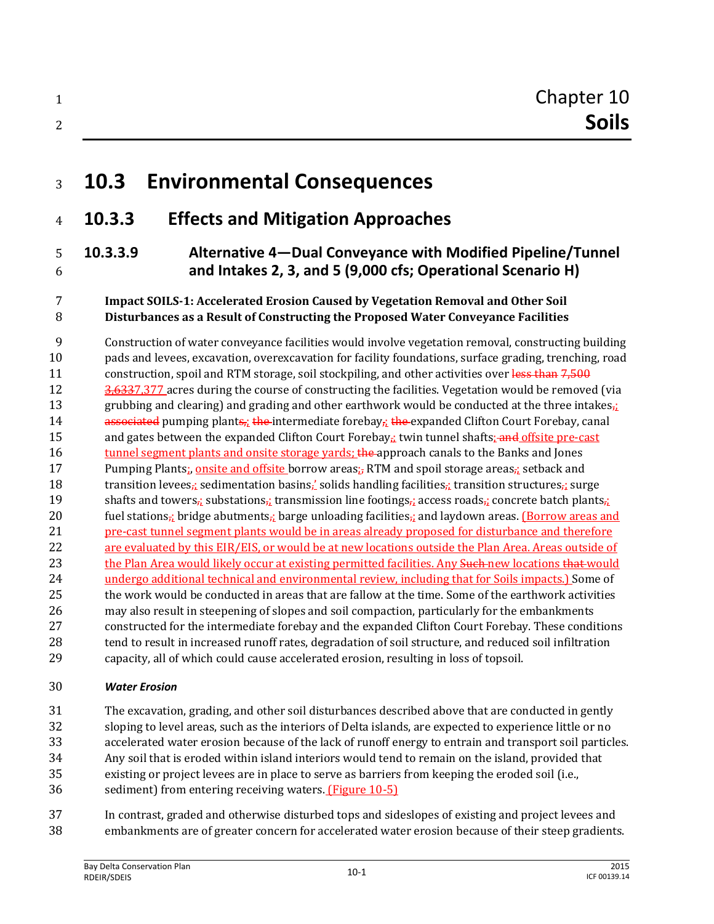## **10.3 Environmental Consequences**

## **10.3.3 Effects and Mitigation Approaches**

## **10.3.3.9 Alternative 4—Dual Conveyance with Modified Pipeline/Tunnel and Intakes 2, 3, and 5 (9,000 cfs; Operational Scenario H)**

#### **Impact SOILS-1: Accelerated Erosion Caused by Vegetation Removal and Other Soil Disturbances as a Result of Constructing the Proposed Water Conveyance Facilities**

 Construction of water conveyance facilities would involve vegetation removal, constructing building pads and levees, excavation, overexcavation for facility foundations, surface grading, trenching, road 11 construction, spoil and RTM storage, soil stockpiling, and other activities over less than 7,500 12 3,6337,377 acres during the course of constructing the facilities. Vegetation would be removed (via 13 grubbing and clearing) and grading and other earthwork would be conducted at the three intakes, 14 associated pumping plants, the intermediate forebay, the expanded Clifton Court Forebay, canal 15 and gates between the expanded Clifton Court Forebay<sub>r</sub>; twin tunnel shafts; and offsite pre-cast 16 tunnel segment plants and onsite storage yards; the approach canals to the Banks and Jones 17 Pumping Plants; onsite and offsite borrow areas; RTM and spoil storage areas; setback and 18 transition levees, sedimentation basins, solids handling facilities, transition structures, surge 19 shafts and towers,; substations,; transmission line footings,; access roads,; concrete batch plants,; 20 fuel stations<sub> $\tau$ </sub>; bridge abutments<sub> $\tau$ </sub>; barge unloading facilities<sub> $\tau$ </sub>; and laydown areas. (Borrow areas and pre-cast tunnel segment plants would be in areas already proposed for disturbance and therefore are evaluated by this EIR/EIS, or would be at new locations outside the Plan Area. Areas outside of 23 the Plan Area would likely occur at existing permitted facilities. Any Such new locations that would undergo additional technical and environmental review, including that for Soils impacts.) Some of the work would be conducted in areas that are fallow at the time. Some of the earthwork activities may also result in steepening of slopes and soil compaction, particularly for the embankments constructed for the intermediate forebay and the expanded Clifton Court Forebay. These conditions tend to result in increased runoff rates, degradation of soil structure, and reduced soil infiltration capacity, all of which could cause accelerated erosion, resulting in loss of topsoil.

#### *Water Erosion*

- The excavation, grading, and other soil disturbances described above that are conducted in gently
- sloping to level areas, such as the interiors of Delta islands, are expected to experience little or no
- accelerated water erosion because of the lack of runoff energy to entrain and transport soil particles.
- Any soil that is eroded within island interiors would tend to remain on the island, provided that
- existing or project levees are in place to serve as barriers from keeping the eroded soil (i.e.,
- sediment) from entering receiving waters. (Figure 10-5)
- In contrast, graded and otherwise disturbed tops and sideslopes of existing and project levees and embankments are of greater concern for accelerated water erosion because of their steep gradients.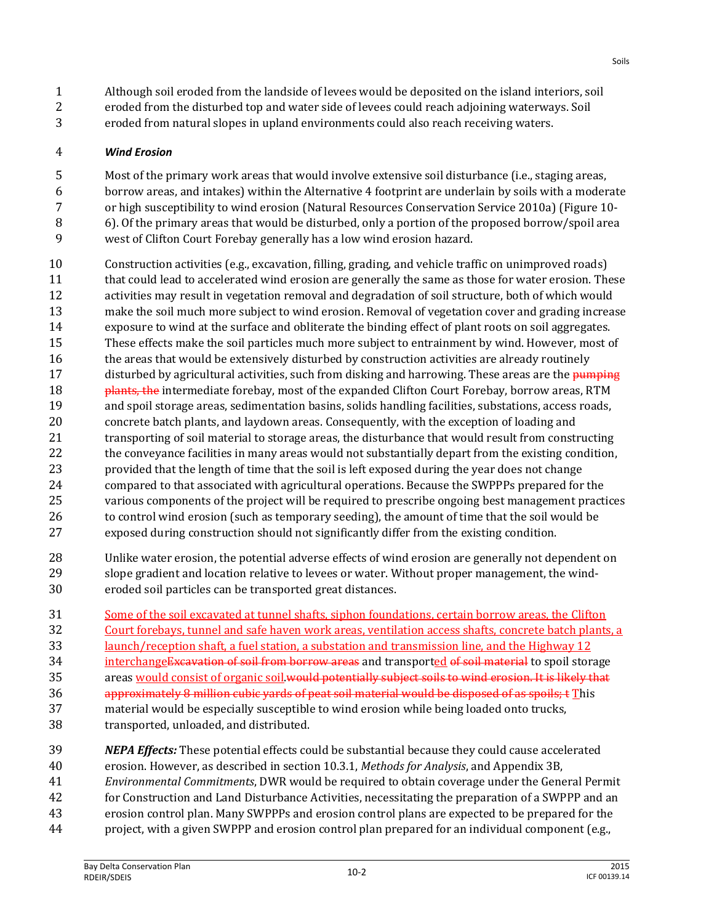- Although soil eroded from the landside of levees would be deposited on the island interiors, soil
- eroded from the disturbed top and water side of levees could reach adjoining waterways. Soil
- eroded from natural slopes in upland environments could also reach receiving waters.

#### *Wind Erosion*

- Most of the primary work areas that would involve extensive soil disturbance (i.e., staging areas,
- borrow areas, and intakes) within the Alternative 4 footprint are underlain by soils with a moderate
- or high susceptibility to wind erosion (Natural Resources Conservation Service 2010a) (Figure 10-
- 6). Of the primary areas that would be disturbed, only a portion of the proposed borrow/spoil area
- west of Clifton Court Forebay generally has a low wind erosion hazard.
- Construction activities (e.g., excavation, filling, grading, and vehicle traffic on unimproved roads) that could lead to accelerated wind erosion are generally the same as those for water erosion. These activities may result in vegetation removal and degradation of soil structure, both of which would make the soil much more subject to wind erosion. Removal of vegetation cover and grading increase exposure to wind at the surface and obliterate the binding effect of plant roots on soil aggregates. These effects make the soil particles much more subject to entrainment by wind. However, most of 16 the areas that would be extensively disturbed by construction activities are already routinely 17 disturbed by agricultural activities, such from disking and harrowing. These areas are the pumping **plants, the intermediate forebay, most of the expanded Clifton Court Forebay, borrow areas, RTM**  and spoil storage areas, sedimentation basins, solids handling facilities, substations, access roads, concrete batch plants, and laydown areas. Consequently, with the exception of loading and 21 transporting of soil material to storage areas, the disturbance that would result from constructing the conveyance facilities in many areas would not substantially depart from the existing condition, provided that the length of time that the soil is left exposed during the year does not change compared to that associated with agricultural operations. Because the SWPPPs prepared for the various components of the project will be required to prescribe ongoing best management practices 26 to control wind erosion (such as temporary seeding), the amount of time that the soil would be exposed during construction should not significantly differ from the existing condition.
- Unlike water erosion, the potential adverse effects of wind erosion are generally not dependent on slope gradient and location relative to levees or water. Without proper management, the wind-eroded soil particles can be transported great distances.
- Some of the soil excavated at tunnel shafts, siphon foundations, certain borrow areas, the Clifton
- Court forebays, tunnel and safe haven work areas, ventilation access shafts, concrete batch plants, a
- launch/reception shaft, a fuel station, a substation and transmission line, and the Highway 12
- 34 interchange Excavation of soil from borrow areas and transported of soil material to spoil storage
- 35 areas would consist of organic soil. would potentially subject soils to wind erosion. It is likely that
- 36 approximately 8 million cubic yards of peat soil material would be disposed of as spoils: t This
- material would be especially susceptible to wind erosion while being loaded onto trucks, transported, unloaded, and distributed.
- *NEPA Effects:* These potential effects could be substantial because they could cause accelerated
- erosion. However, as described in section 10.3.1, *Methods for Analysis*, and Appendix 3B,
- *Environmental Commitments*, DWR would be required to obtain coverage under the General Permit
- for Construction and Land Disturbance Activities, necessitating the preparation of a SWPPP and an
- erosion control plan. Many SWPPPs and erosion control plans are expected to be prepared for the project, with a given SWPPP and erosion control plan prepared for an individual component (e.g.,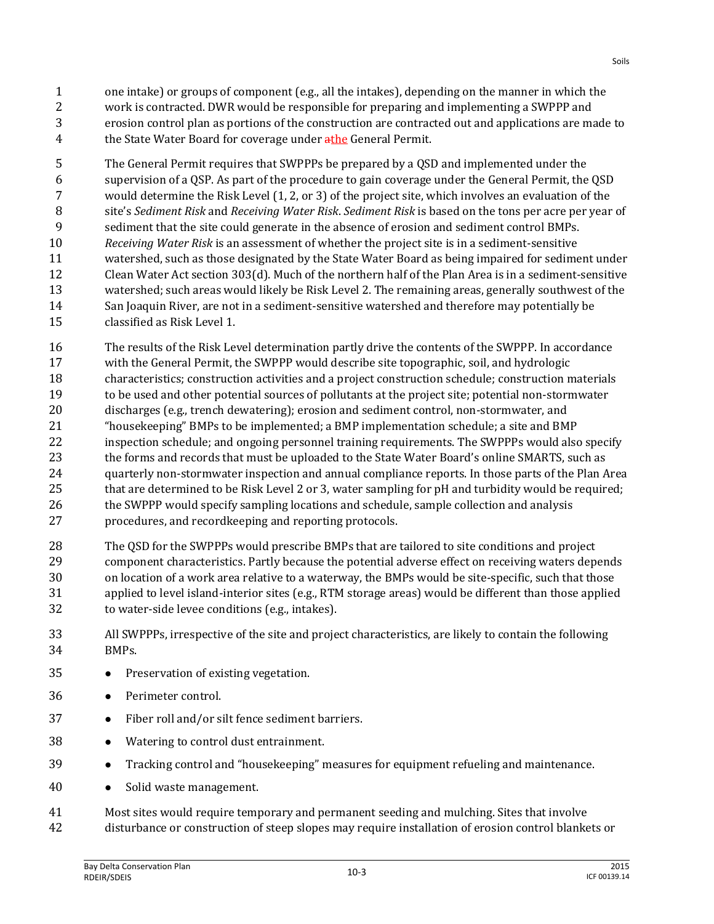- one intake) or groups of component (e.g., all the intakes), depending on the manner in which the work is contracted. DWR would be responsible for preparing and implementing a SWPPP and erosion control plan as portions of the construction are contracted out and applications are made to 4 the State Water Board for coverage under athe General Permit.
- The General Permit requires that SWPPPs be prepared by a QSD and implemented under the supervision of a QSP. As part of the procedure to gain coverage under the General Permit, the QSD would determine the Risk Level (1, 2, or 3) of the project site, which involves an evaluation of the site's *Sediment Risk* and *Receiving Water Risk*. *Sediment Risk* is based on the tons per acre per year of sediment that the site could generate in the absence of erosion and sediment control BMPs. *Receiving Water Risk* is an assessment of whether the project site is in a sediment-sensitive watershed, such as those designated by the State Water Board as being impaired for sediment under Clean Water Act section 303(d). Much of the northern half of the Plan Area is in a sediment-sensitive watershed; such areas would likely be Risk Level 2. The remaining areas, generally southwest of the San Joaquin River, are not in a sediment-sensitive watershed and therefore may potentially be classified as Risk Level 1.
- The results of the Risk Level determination partly drive the contents of the SWPPP. In accordance
- with the General Permit, the SWPPP would describe site topographic, soil, and hydrologic characteristics; construction activities and a project construction schedule; construction materials to be used and other potential sources of pollutants at the project site; potential non-stormwater discharges (e.g., trench dewatering); erosion and sediment control, non-stormwater, and "housekeeping" BMPs to be implemented; a BMP implementation schedule; a site and BMP inspection schedule; and ongoing personnel training requirements. The SWPPPs would also specify 23 the forms and records that must be uploaded to the State Water Board's online SMARTS, such as quarterly non-stormwater inspection and annual compliance reports. In those parts of the Plan Area that are determined to be Risk Level 2 or 3, water sampling for pH and turbidity would be required; the SWPPP would specify sampling locations and schedule, sample collection and analysis procedures, and recordkeeping and reporting protocols.
- The QSD for the SWPPPs would prescribe BMPs that are tailored to site conditions and project component characteristics. Partly because the potential adverse effect on receiving waters depends on location of a work area relative to a waterway, the BMPs would be site-specific, such that those applied to level island-interior sites (e.g., RTM storage areas) would be different than those applied to water-side levee conditions (e.g., intakes).
- All SWPPPs, irrespective of the site and project characteristics, are likely to contain the following BMPs.
- 35 Preservation of existing vegetation.
- Perimeter control.
- 37 Fiber roll and/or silt fence sediment barriers.
- Watering to control dust entrainment.
- Tracking control and "housekeeping" measures for equipment refueling and maintenance.
- 40 Solid waste management.
- Most sites would require temporary and permanent seeding and mulching. Sites that involve disturbance or construction of steep slopes may require installation of erosion control blankets or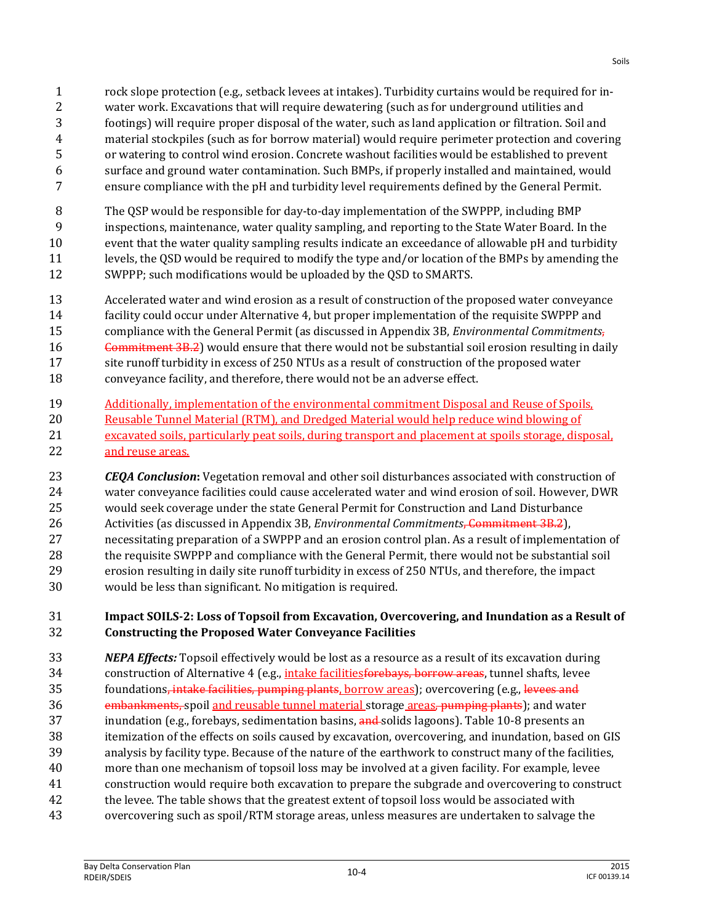- or watering to control wind erosion. Concrete washout facilities would be established to prevent
- surface and ground water contamination. Such BMPs, if properly installed and maintained, would ensure compliance with the pH and turbidity level requirements defined by the General Permit.
- The QSP would be responsible for day-to-day implementation of the SWPPP, including BMP
- inspections, maintenance, water quality sampling, and reporting to the State Water Board. In the
- event that the water quality sampling results indicate an exceedance of allowable pH and turbidity
- levels, the QSD would be required to modify the type and/or location of the BMPs by amending the
- SWPPP; such modifications would be uploaded by the QSD to SMARTS.
- Accelerated water and wind erosion as a result of construction of the proposed water conveyance facility could occur under Alternative 4, but proper implementation of the requisite SWPPP and compliance with the General Permit (as discussed in Appendix 3B, *Environmental Commitments*, 16 Commitment 3B.2) would ensure that there would not be substantial soil erosion resulting in daily 17 site runoff turbidity in excess of 250 NTUs as a result of construction of the proposed water conveyance facility, and therefore, there would not be an adverse effect.
- Additionally, implementation of the environmental commitment Disposal and Reuse of Spoils, 20 Reusable Tunnel Material (RTM), and Dredged Material would help reduce wind blowing of excavated soils, particularly peat soils, during transport and placement at spoils storage, disposal, and reuse areas.
- *CEQA Conclusion***:** Vegetation removal and other soil disturbances associated with construction of water conveyance facilities could cause accelerated water and wind erosion of soil. However, DWR would seek coverage under the state General Permit for Construction and Land Disturbance Activities (as discussed in Appendix 3B, *Environmental Commitments*, Commitment 3B.2), necessitating preparation of a SWPPP and an erosion control plan. As a result of implementation of the requisite SWPPP and compliance with the General Permit, there would not be substantial soil erosion resulting in daily site runoff turbidity in excess of 250 NTUs, and therefore, the impact would be less than significant. No mitigation is required.

## **Impact SOILS-2: Loss of Topsoil from Excavation, Overcovering, and Inundation as a Result of Constructing the Proposed Water Conveyance Facilities**

 *NEPA Effects:* Topsoil effectively would be lost as a resource as a result of its excavation during 34 construction of Alternative 4 (e.g., *intake facilitiesforebays*, borrow areas, tunnel shafts, levee 35 foundations<del>, intake facilities, pumping plants</del>, borrow areas); overcovering (e.g., levees and 36 embankments, spoil and reusable tunnel material storage areas, pumping plants); and water 37 inundation (e.g., forebays, sedimentation basins, and solids lagoons). Table 10-8 presents an itemization of the effects on soils caused by excavation, overcovering, and inundation, based on GIS analysis by facility type. Because of the nature of the earthwork to construct many of the facilities, more than one mechanism of topsoil loss may be involved at a given facility. For example, levee construction would require both excavation to prepare the subgrade and overcovering to construct 42 the levee. The table shows that the greatest extent of topsoil loss would be associated with overcovering such as spoil/RTM storage areas, unless measures are undertaken to salvage the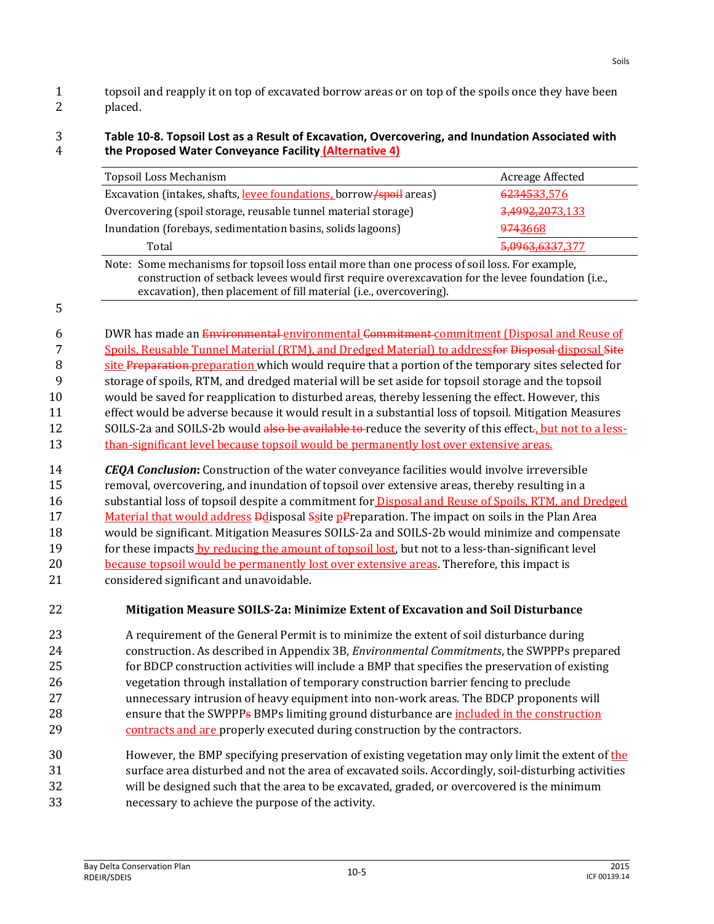1 topsoil and reapply it on top of excavated borrow areas or on top of the spoils once they have been 2 placed.

#### 3 **Table 10-8. Topsoil Lost as a Result of Excavation, Overcovering, and Inundation Associated with**  4 **the Proposed Water Conveyance Facility (Alternative 4)**

| <b>Topsoil Loss Mechanism</b>                                                                                                                                                                                                                                             | Acreage Affected |
|---------------------------------------------------------------------------------------------------------------------------------------------------------------------------------------------------------------------------------------------------------------------------|------------------|
| Excavation (intakes, shafts, levee foundations, borrow/spoil areas)                                                                                                                                                                                                       | 6234533,576      |
| Overcovering (spoil storage, reusable tunnel material storage)                                                                                                                                                                                                            | 3,4992,2073,133  |
| Inundation (forebays, sedimentation basins, solids lagoons)                                                                                                                                                                                                               | 9743668          |
| Total                                                                                                                                                                                                                                                                     | 5,0963,6337,377  |
| Note: Some mechanisms for topsoil loss entail more than one process of soil loss. For example,<br>construction of setback levees would first require overexcavation for the levee foundation (i.e.,<br>excavation), then placement of fill material (i.e., overcovering). |                  |

6 DWR has made an Environmental environmental Commitment commitment (Disposal and Reuse of 7 Spoils, Reusable Tunnel Material (RTM), and Dredged Material) to address<del>for Disposal</del> disposal Site 8 site Preparation-preparation which would require that a portion of the temporary sites selected for 9 storage of spoils, RTM, and dredged material will be set aside for topsoil storage and the topsoil 10 would be saved for reapplication to disturbed areas, thereby lessening the effect. However, this 11 effect would be adverse because it would result in a substantial loss of topsoil. Mitigation Measures 12 SOILS-2a and SOILS-2b would also be available to reduce the severity of this effect. but not to a less-13 than-significant level because topsoil would be permanently lost over extensive areas.

14 *CEQA Conclusion***:** Construction of the water conveyance facilities would involve irreversible 15 removal, overcovering, and inundation of topsoil over extensive areas, thereby resulting in a 16 substantial loss of topsoil despite a commitment for **Disposal and Reuse of Spoils, RTM, and Dredged** 17 Material that would address **D**disposal Ssite pPreparation. The impact on soils in the Plan Area 18 would be significant. Mitigation Measures SOILS-2a and SOILS-2b would minimize and compensate 19 for these impacts by reducing the amount of topsoil lost, but not to a less-than-significant level 20 because topsoil would be permanently lost over extensive areas. Therefore, this impact is 21 considered significant and unavoidable.

5

## 22 **Mitigation Measure SOILS-2a: Minimize Extent of Excavation and Soil Disturbance**

 A requirement of the General Permit is to minimize the extent of soil disturbance during construction. As described in Appendix 3B, *Environmental Commitments*, the SWPPPs prepared for BDCP construction activities will include a BMP that specifies the preservation of existing vegetation through installation of temporary construction barrier fencing to preclude unnecessary intrusion of heavy equipment into non-work areas. The BDCP proponents will 28 ensure that the SWPPPs BMPs limiting ground disturbance are included in the construction contracts and are properly executed during construction by the contractors.

30 However, the BMP specifying preservation of existing vegetation may only limit the extent of the surface area disturbed and not the area of excavated soils. Accordingly, soil-disturbing activities will be designed such that the area to be excavated, graded, or overcovered is the minimum necessary to achieve the purpose of the activity.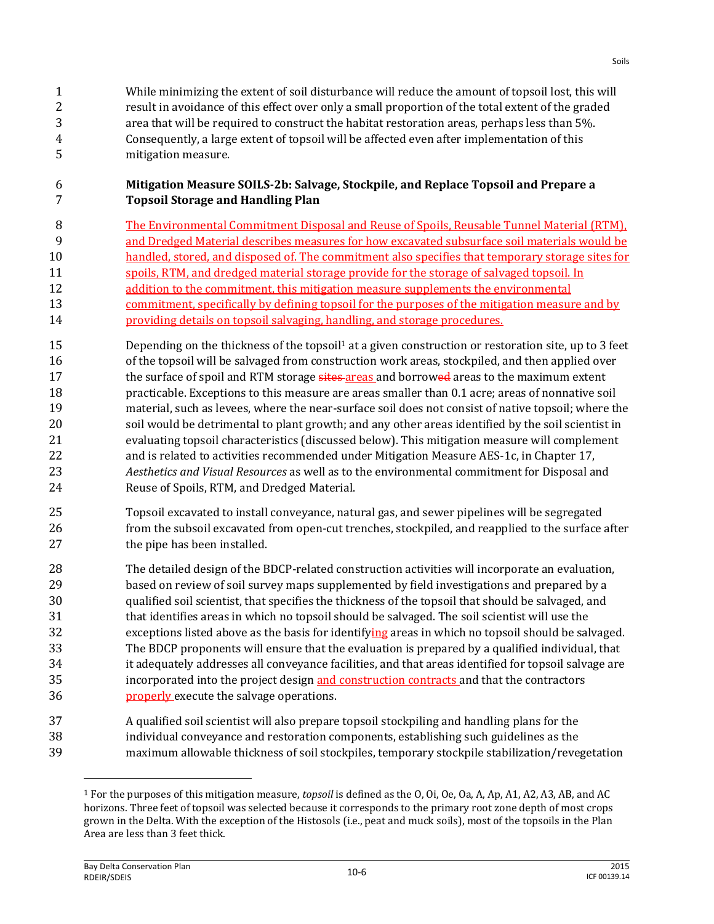#### **Mitigation Measure SOILS-2b: Salvage, Stockpile, and Replace Topsoil and Prepare a Topsoil Storage and Handling Plan**

- The Environmental Commitment Disposal and Reuse of Spoils, Reusable Tunnel Material (RTM), and Dredged Material describes measures for how excavated subsurface soil materials would be 10 handled, stored, and disposed of. The commitment also specifies that temporary storage sites for spoils, RTM, and dredged material storage provide for the storage of salvaged topsoil. In addition to the commitment, this mitigation measure supplements the environmental commitment, specifically by defining topsoil for the purposes of the mitigation measure and by **providing details on topsoil salvaging, handling, and storage procedures.**
- 15 15 **Depending on the thickness of the topsoil** at a given construction or restoration site, up to 3 feet of the topsoil will be salvaged from construction work areas, stockpiled, and then applied over 17 the surface of spoil and RTM storage sites areas and borrowed areas to the maximum extent practicable. Exceptions to this measure are areas smaller than 0.1 acre; areas of nonnative soil material, such as levees, where the near-surface soil does not consist of native topsoil; where the soil would be detrimental to plant growth; and any other areas identified by the soil scientist in evaluating topsoil characteristics (discussed below). This mitigation measure will complement and is related to activities recommended under Mitigation Measure AES-1c, in Chapter 17, *Aesthetics and Visual Resources* as well as to the environmental commitment for Disposal and Reuse of Spoils, RTM, and Dredged Material.
- Topsoil excavated to install conveyance, natural gas, and sewer pipelines will be segregated from the subsoil excavated from open-cut trenches, stockpiled, and reapplied to the surface after 27 the pipe has been installed.
- The detailed design of the BDCP-related construction activities will incorporate an evaluation, based on review of soil survey maps supplemented by field investigations and prepared by a qualified soil scientist, that specifies the thickness of the topsoil that should be salvaged, and that identifies areas in which no topsoil should be salvaged. The soil scientist will use the 32 exceptions listed above as the basis for identifying areas in which no topsoil should be salvaged. The BDCP proponents will ensure that the evaluation is prepared by a qualified individual, that it adequately addresses all conveyance facilities, and that areas identified for topsoil salvage are 35 incorporated into the project design and construction contracts and that the contractors **properly** execute the salvage operations.
- A qualified soil scientist will also prepare topsoil stockpiling and handling plans for the individual conveyance and restoration components, establishing such guidelines as the maximum allowable thickness of soil stockpiles, temporary stockpile stabilization/revegetation

l

 For the purposes of this mitigation measure, *topsoil* is defined as the O, Oi, Oe, Oa, A, Ap, A1, A2, A3, AB, and AC horizons. Three feet of topsoil was selected because it corresponds to the primary root zone depth of most crops grown in the Delta. With the exception of the Histosols (i.e., peat and muck soils), most of the topsoils in the Plan Area are less than 3 feet thick.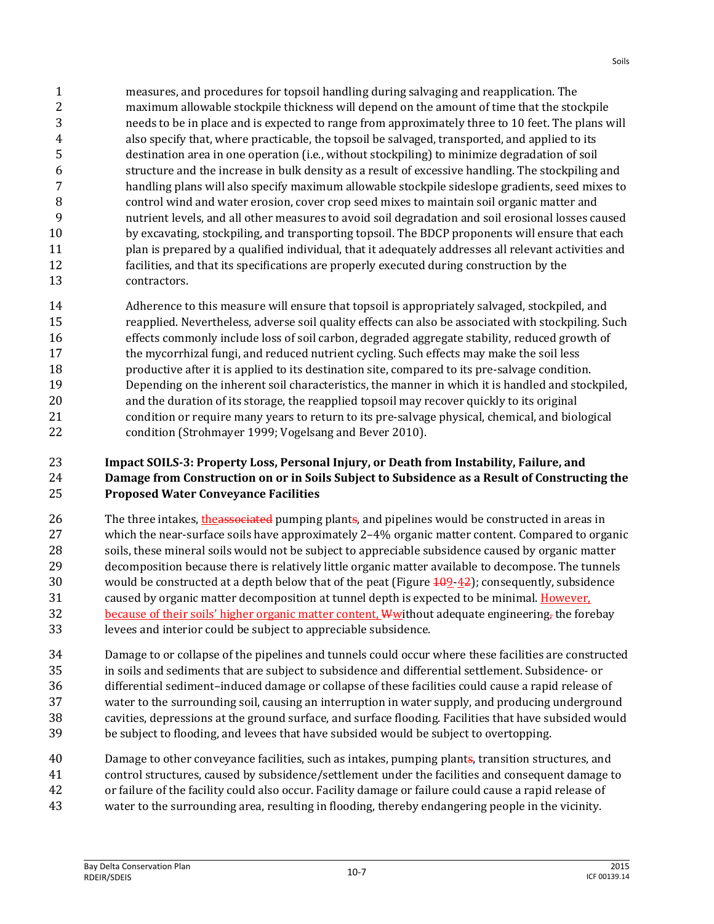measures, and procedures for topsoil handling during salvaging and reapplication. The maximum allowable stockpile thickness will depend on the amount of time that the stockpile needs to be in place and is expected to range from approximately three to 10 feet. The plans will also specify that, where practicable, the topsoil be salvaged, transported, and applied to its destination area in one operation (i.e., without stockpiling) to minimize degradation of soil structure and the increase in bulk density as a result of excessive handling. The stockpiling and handling plans will also specify maximum allowable stockpile sideslope gradients, seed mixes to control wind and water erosion, cover crop seed mixes to maintain soil organic matter and nutrient levels, and all other measures to avoid soil degradation and soil erosional losses caused by excavating, stockpiling, and transporting topsoil. The BDCP proponents will ensure that each plan is prepared by a qualified individual, that it adequately addresses all relevant activities and facilities, and that its specifications are properly executed during construction by the contractors.

14 Adherence to this measure will ensure that topsoil is appropriately salvaged, stockpiled, and reapplied. Nevertheless, adverse soil quality effects can also be associated with stockpiling. Such effects commonly include loss of soil carbon, degraded aggregate stability, reduced growth of the mycorrhizal fungi, and reduced nutrient cycling. Such effects may make the soil less productive after it is applied to its destination site, compared to its pre-salvage condition. Depending on the inherent soil characteristics, the manner in which it is handled and stockpiled, and the duration of its storage, the reapplied topsoil may recover quickly to its original condition or require many years to return to its pre-salvage physical, chemical, and biological condition (Strohmayer 1999; Vogelsang and Bever 2010).

#### **Impact SOILS-3: Property Loss, Personal Injury, or Death from Instability, Failure, and Damage from Construction on or in Soils Subject to Subsidence as a Result of Constructing the Proposed Water Conveyance Facilities**

26 The three intakes, the associated pumping plants, and pipelines would be constructed in areas in which the near-surface soils have approximately 2–4% organic matter content. Compared to organic soils, these mineral soils would not be subject to appreciable subsidence caused by organic matter decomposition because there is relatively little organic matter available to decompose. The tunnels 30 would be constructed at a depth below that of the peat (Figure  $\frac{109-42}{2}$ ); consequently, subsidence caused by organic matter decomposition at tunnel depth is expected to be minimal. However, 32 because of their soils' higher organic matter content,  $\mathbf{\Psi}$  without adequate engineering, the forebay levees and interior could be subject to appreciable subsidence.

 Damage to or collapse of the pipelines and tunnels could occur where these facilities are constructed in soils and sediments that are subject to subsidence and differential settlement. Subsidence- or differential sediment–induced damage or collapse of these facilities could cause a rapid release of water to the surrounding soil, causing an interruption in water supply, and producing underground cavities, depressions at the ground surface, and surface flooding. Facilities that have subsided would be subject to flooding, and levees that have subsided would be subject to overtopping.

 Damage to other conveyance facilities, such as intakes, pumping plants, transition structures, and control structures, caused by subsidence/settlement under the facilities and consequent damage to or failure of the facility could also occur. Facility damage or failure could cause a rapid release of water to the surrounding area, resulting in flooding, thereby endangering people in the vicinity.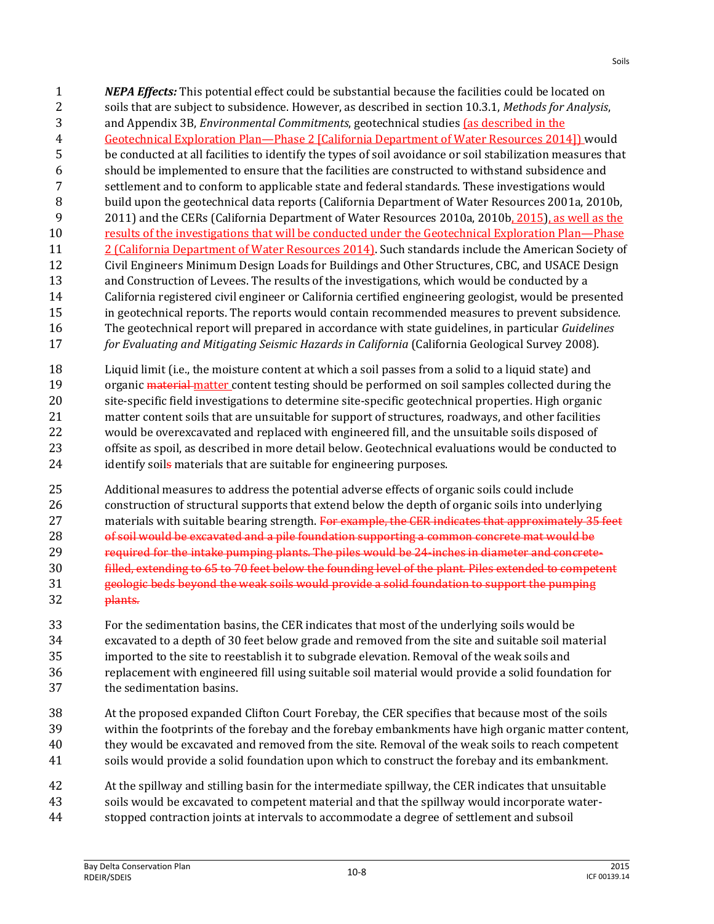soils that are subject to subsidence. However, as described in section 10.3.1, *Methods for Analysis*, and Appendix 3B, *Environmental Commitments*, geotechnical studies (as described in the Geotechnical Exploration Plan—Phase 2 [California Department of Water Resources 2014]) would be conducted at all facilities to identify the types of soil avoidance or soil stabilization measures that should be implemented to ensure that the facilities are constructed to withstand subsidence and settlement and to conform to applicable state and federal standards. These investigations would build upon the geotechnical data reports (California Department of Water Resources 2001a, 2010b, 2011) and the CERs (California Department of Water Resources 2010a, 2010b, 2015), as well as the results of the investigations that will be conducted under the Geotechnical Exploration Plan—Phase 2 (California Department of Water Resources 2014). Such standards include the American Society of Civil Engineers Minimum Design Loads for Buildings and Other Structures, CBC, and USACE Design and Construction of Levees. The results of the investigations, which would be conducted by a California registered civil engineer or California certified engineering geologist, would be presented in geotechnical reports. The reports would contain recommended measures to prevent subsidence. The geotechnical report will prepared in accordance with state guidelines, in particular *Guidelines for Evaluating and Mitigating Seismic Hazards in California* (California Geological Survey 2008).

*NEPA Effects:* This potential effect could be substantial because the facilities could be located on

 Liquid limit (i.e., the moisture content at which a soil passes from a solid to a liquid state) and 19 organic material matter content testing should be performed on soil samples collected during the site-specific field investigations to determine site-specific geotechnical properties. High organic matter content soils that are unsuitable for support of structures, roadways, and other facilities would be overexcavated and replaced with engineered fill, and the unsuitable soils disposed of offsite as spoil, as described in more detail below. Geotechnical evaluations would be conducted to 24 identify soils materials that are suitable for engineering purposes.

 Additional measures to address the potential adverse effects of organic soils could include construction of structural supports that extend below the depth of organic soils into underlying 27 materials with suitable bearing strength. For example, the CER indicates that approximately 35 feet 28 of soil would be excavated and a pile foundation supporting a common concrete mat would be required for the intake pumping plants. The piles would be 24-inches in diameter and concrete- filled, extending to 65 to 70 feet below the founding level of the plant. Piles extended to competent geologic beds beyond the weak soils would provide a solid foundation to support the pumping plants.

 For the sedimentation basins, the CER indicates that most of the underlying soils would be excavated to a depth of 30 feet below grade and removed from the site and suitable soil material imported to the site to reestablish it to subgrade elevation. Removal of the weak soils and replacement with engineered fill using suitable soil material would provide a solid foundation for the sedimentation basins.

- At the proposed expanded Clifton Court Forebay, the CER specifies that because most of the soils within the footprints of the forebay and the forebay embankments have high organic matter content, they would be excavated and removed from the site. Removal of the weak soils to reach competent soils would provide a solid foundation upon which to construct the forebay and its embankment.
- At the spillway and stilling basin for the intermediate spillway, the CER indicates that unsuitable
- soils would be excavated to competent material and that the spillway would incorporate water-
- stopped contraction joints at intervals to accommodate a degree of settlement and subsoil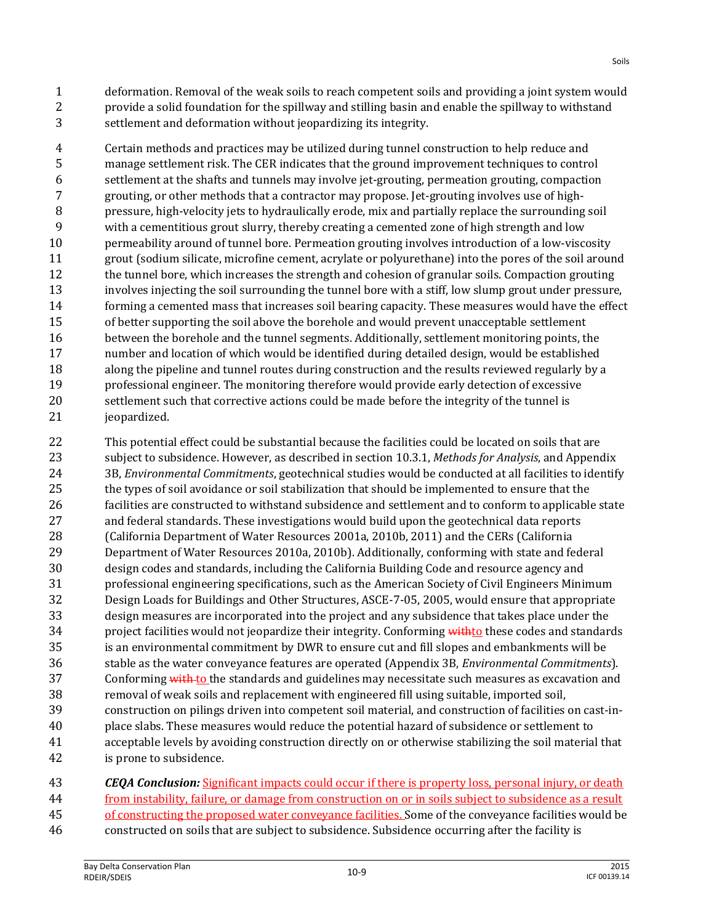deformation. Removal of the weak soils to reach competent soils and providing a joint system would provide a solid foundation for the spillway and stilling basin and enable the spillway to withstand settlement and deformation without jeopardizing its integrity.

 Certain methods and practices may be utilized during tunnel construction to help reduce and manage settlement risk. The CER indicates that the ground improvement techniques to control settlement at the shafts and tunnels may involve jet-grouting, permeation grouting, compaction grouting, or other methods that a contractor may propose. Jet-grouting involves use of high- pressure, high-velocity jets to hydraulically erode, mix and partially replace the surrounding soil with a cementitious grout slurry, thereby creating a cemented zone of high strength and low permeability around of tunnel bore. Permeation grouting involves introduction of a low-viscosity grout (sodium silicate, microfine cement, acrylate or polyurethane) into the pores of the soil around 12 the tunnel bore, which increases the strength and cohesion of granular soils. Compaction grouting involves injecting the soil surrounding the tunnel bore with a stiff, low slump grout under pressure, forming a cemented mass that increases soil bearing capacity. These measures would have the effect of better supporting the soil above the borehole and would prevent unacceptable settlement between the borehole and the tunnel segments. Additionally, settlement monitoring points, the number and location of which would be identified during detailed design, would be established along the pipeline and tunnel routes during construction and the results reviewed regularly by a professional engineer. The monitoring therefore would provide early detection of excessive settlement such that corrective actions could be made before the integrity of the tunnel is jeopardized.

 This potential effect could be substantial because the facilities could be located on soils that are subject to subsidence. However, as described in section 10.3.1, *Methods for Analysis*, and Appendix 3B, *Environmental Commitments*, geotechnical studies would be conducted at all facilities to identify the types of soil avoidance or soil stabilization that should be implemented to ensure that the facilities are constructed to withstand subsidence and settlement and to conform to applicable state and federal standards. These investigations would build upon the geotechnical data reports (California Department of Water Resources 2001a, 2010b, 2011) and the CERs (California Department of Water Resources 2010a, 2010b). Additionally, conforming with state and federal design codes and standards, including the California Building Code and resource agency and professional engineering specifications, such as the American Society of Civil Engineers Minimum Design Loads for Buildings and Other Structures, ASCE-7-05, 2005, would ensure that appropriate design measures are incorporated into the project and any subsidence that takes place under the 34 project facilities would not jeopardize their integrity. Conforming with to these codes and standards is an environmental commitment by DWR to ensure cut and fill slopes and embankments will be stable as the water conveyance features are operated (Appendix 3B, *Environmental Commitments*). 37 Conforming with to the standards and guidelines may necessitate such measures as excavation and removal of weak soils and replacement with engineered fill using suitable, imported soil, construction on pilings driven into competent soil material, and construction of facilities on cast-in- place slabs. These measures would reduce the potential hazard of subsidence or settlement to acceptable levels by avoiding construction directly on or otherwise stabilizing the soil material that is prone to subsidence.

 *CEQA Conclusion:* Significant impacts could occur if there is property loss, personal injury, or death from instability, failure, or damage from construction on or in soils subject to subsidence as a result 45 of constructing the proposed water conveyance facilities. Some of the conveyance facilities would be constructed on soils that are subject to subsidence. Subsidence occurring after the facility is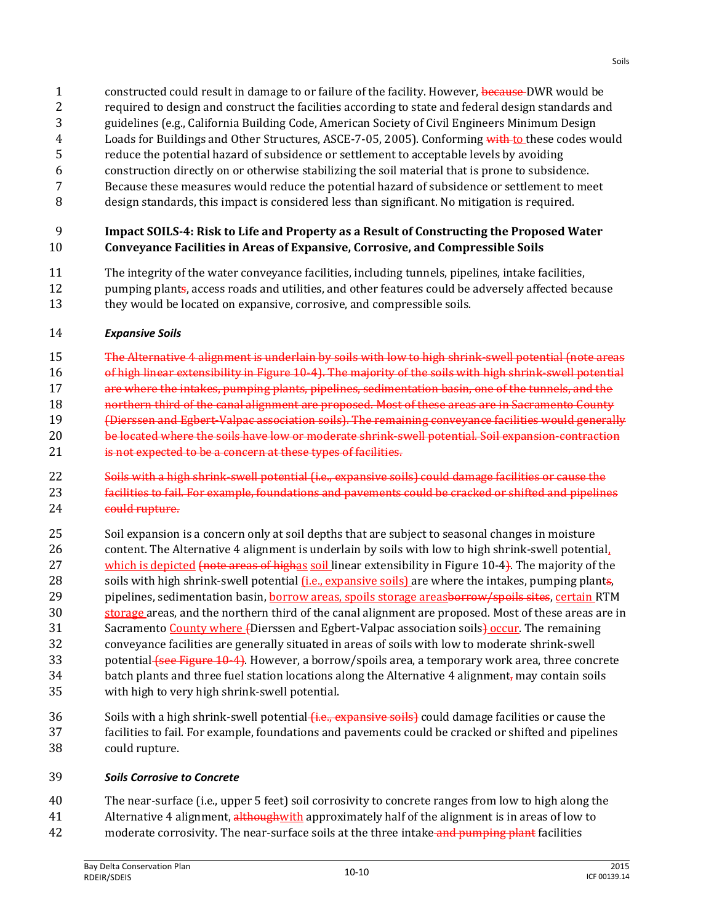- 1 constructed could result in damage to or failure of the facility. However, because DWR would be
- 2 required to design and construct the facilities according to state and federal design standards and
- 3 guidelines (e.g., California Building Code, American Society of Civil Engineers Minimum Design
- 4 Loads for Buildings and Other Structures, ASCE-7-05, 2005). Conforming with to these codes would
- 5 reduce the potential hazard of subsidence or settlement to acceptable levels by avoiding 6 construction directly on or otherwise stabilizing the soil material that is prone to subsidence.
- 7 Because these measures would reduce the potential hazard of subsidence or settlement to meet
- 8 design standards, this impact is considered less than significant. No mitigation is required.

## 9 **Impact SOILS-4: Risk to Life and Property as a Result of Constructing the Proposed Water**  10 **Conveyance Facilities in Areas of Expansive, Corrosive, and Compressible Soils**

11 The integrity of the water conveyance facilities, including tunnels, pipelines, intake facilities, 12 pumping plants, access roads and utilities, and other features could be adversely affected because 13 they would be located on expansive, corrosive, and compressible soils.

## 14 *Expansive Soils*

 The Alternative 4 alignment is underlain by soils with low to high shrink-swell potential (note areas of high linear extensibility in Figure 10-4). The majority of the soils with high shrink-swell potential are where the intakes, pumping plants, pipelines, sedimentation basin, one of the tunnels, and the **18 northern third of the canal alignment are proposed. Most of these areas are in Sacramento County** (Dierssen and Egbert-Valpac association soils). The remaining conveyance facilities would generally

- 20 be located where the soils have low or moderate shrink-swell potential. Soil expansion-contraction
- 21 is not expected to be a concern at these types of facilities.
- 22 Soils with a high shrink-swell potential (i.e., expansive soils) could damage facilities or cause the
- 23 facilities to fail. For example, foundations and pavements could be cracked or shifted and pipelines 24 could rupture.
- 25 Soil expansion is a concern only at soil depths that are subject to seasonal changes in moisture 26 content. The Alternative 4 alignment is underlain by soils with low to high shrink-swell potential, 27 which is depicted (note areas of highas soil linear extensibility in Figure 10-4). The majority of the 28 soils with high shrink-swell potential <u>(i.e., expansive soils</u>) are where the intakes, pumping plants, 29 pipelines, sedimentation basin, **borrow areas, spoils storage areasborrow/spoils sites**, certain RTM 30 storage areas, and the northern third of the canal alignment are proposed. Most of these areas are in 31 Sacramento County where (Dierssen and Egbert-Valpac association soils) occur. The remaining 32 conveyance facilities are generally situated in areas of soils with low to moderate shrink-swell 33 potential (see Figure 10-4). However, a borrow/spoils area, a temporary work area, three concrete 34 batch plants and three fuel station locations along the Alternative 4 alignment, may contain soils 35 with high to very high shrink-swell potential.
- 36 Soils with a high shrink-swell potential *(i.e., expansive soils)* could damage facilities or cause the 37 facilities to fail. For example, foundations and pavements could be cracked or shifted and pipelines 38 could rupture.

## 39 *Soils Corrosive to Concrete*

40 The near-surface (i.e., upper 5 feet) soil corrosivity to concrete ranges from low to high along the

- 41 Alternative 4 alignment, although with approximately half of the alignment is in areas of low to
- 42 moderate corrosivity. The near-surface soils at the three intake and pumping plant facilities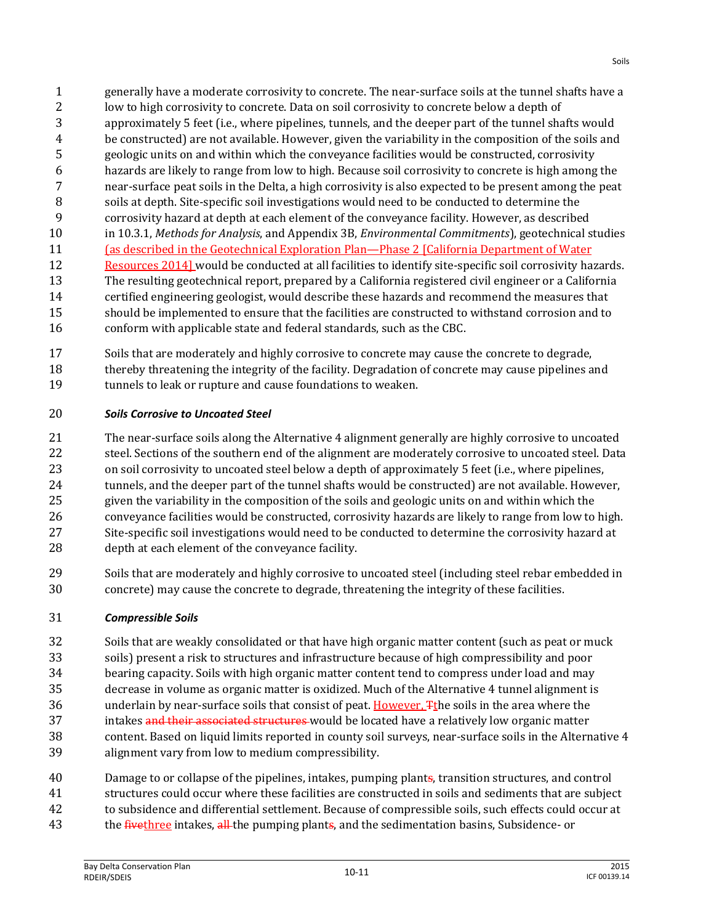- generally have a moderate corrosivity to concrete. The near-surface soils at the tunnel shafts have a low to high corrosivity to concrete. Data on soil corrosivity to concrete below a depth of approximately 5 feet (i.e., where pipelines, tunnels, and the deeper part of the tunnel shafts would be constructed) are not available. However, given the variability in the composition of the soils and geologic units on and within which the conveyance facilities would be constructed, corrosivity hazards are likely to range from low to high. Because soil corrosivity to concrete is high among the near-surface peat soils in the Delta, a high corrosivity is also expected to be present among the peat soils at depth. Site-specific soil investigations would need to be conducted to determine the corrosivity hazard at depth at each element of the conveyance facility. However, as described in 10.3.1, *Methods for Analysis*, and Appendix 3B, *Environmental Commitments*), geotechnical studies (as described in the Geotechnical Exploration Plan—Phase 2 [California Department of Water Resources 2014] would be conducted at all facilities to identify site-specific soil corrosivity hazards. The resulting geotechnical report, prepared by a California registered civil engineer or a California certified engineering geologist, would describe these hazards and recommend the measures that should be implemented to ensure that the facilities are constructed to withstand corrosion and to conform with applicable state and federal standards, such as the CBC.
- Soils that are moderately and highly corrosive to concrete may cause the concrete to degrade, thereby threatening the integrity of the facility. Degradation of concrete may cause pipelines and tunnels to leak or rupture and cause foundations to weaken.

## *Soils Corrosive to Uncoated Steel*

- The near-surface soils along the Alternative 4 alignment generally are highly corrosive to uncoated steel. Sections of the southern end of the alignment are moderately corrosive to uncoated steel. Data on soil corrosivity to uncoated steel below a depth of approximately 5 feet (i.e., where pipelines, 24 tunnels, and the deeper part of the tunnel shafts would be constructed) are not available. However, given the variability in the composition of the soils and geologic units on and within which the conveyance facilities would be constructed, corrosivity hazards are likely to range from low to high. Site-specific soil investigations would need to be conducted to determine the corrosivity hazard at depth at each element of the conveyance facility.
- Soils that are moderately and highly corrosive to uncoated steel (including steel rebar embedded in concrete) may cause the concrete to degrade, threatening the integrity of these facilities.

## *Compressible Soils*

- Soils that are weakly consolidated or that have high organic matter content (such as peat or muck soils) present a risk to structures and infrastructure because of high compressibility and poor bearing capacity. Soils with high organic matter content tend to compress under load and may decrease in volume as organic matter is oxidized. Much of the Alternative 4 tunnel alignment is underlain by near-surface soils that consist of peat. However, Tthe soils in the area where the 37 intakes and their associated structures would be located have a relatively low organic matter content. Based on liquid limits reported in county soil surveys, near-surface soils in the Alternative 4 alignment vary from low to medium compressibility.
- Damage to or collapse of the pipelines, intakes, pumping plants, transition structures, and control structures could occur where these facilities are constructed in soils and sediments that are subject
- to subsidence and differential settlement. Because of compressible soils, such effects could occur at
- 43 the *fivethree* intakes, all the pumping plants, and the sedimentation basins, Subsidence- or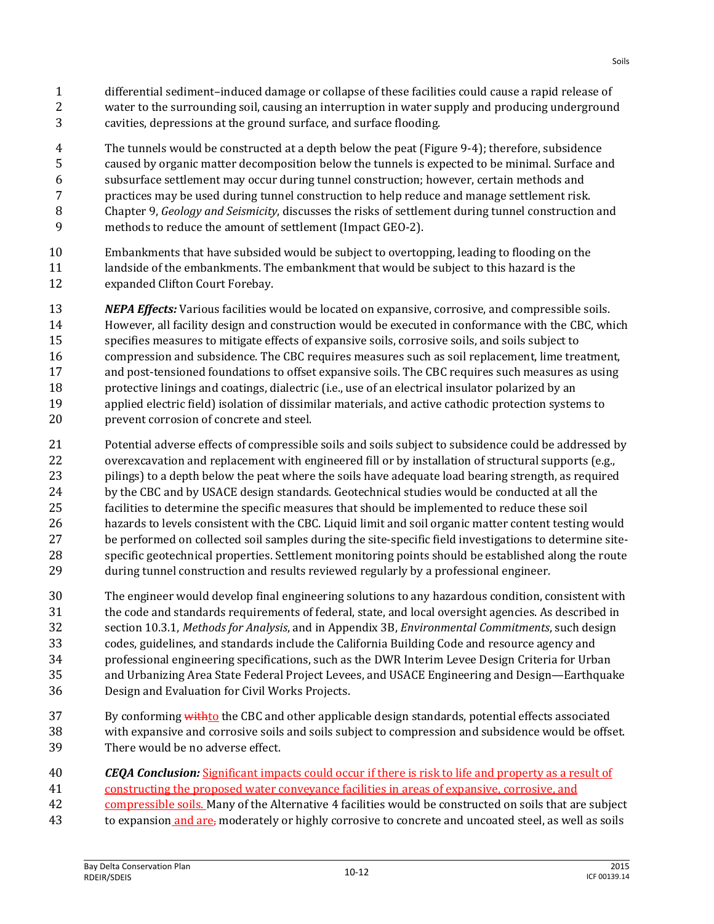- cavities, depressions at the ground surface, and surface flooding.
- The tunnels would be constructed at a depth below the peat (Figure 9-4); therefore, subsidence
- caused by organic matter decomposition below the tunnels is expected to be minimal. Surface and subsurface settlement may occur during tunnel construction; however, certain methods and
- practices may be used during tunnel construction to help reduce and manage settlement risk.
- Chapter 9, *Geology and Seismicity*, discusses the risks of settlement during tunnel construction and
- methods to reduce the amount of settlement (Impact GEO-2).
- Embankments that have subsided would be subject to overtopping, leading to flooding on the 11 landside of the embankments. The embankment that would be subject to this hazard is the expanded Clifton Court Forebay.
- *NEPA Effects:* Various facilities would be located on expansive, corrosive, and compressible soils. However, all facility design and construction would be executed in conformance with the CBC, which specifies measures to mitigate effects of expansive soils, corrosive soils, and soils subject to compression and subsidence. The CBC requires measures such as soil replacement, lime treatment, and post-tensioned foundations to offset expansive soils. The CBC requires such measures as using protective linings and coatings, dialectric (i.e., use of an electrical insulator polarized by an applied electric field) isolation of dissimilar materials, and active cathodic protection systems to prevent corrosion of concrete and steel.
- Potential adverse effects of compressible soils and soils subject to subsidence could be addressed by overexcavation and replacement with engineered fill or by installation of structural supports (e.g., 23 pilings) to a depth below the peat where the soils have adequate load bearing strength, as required by the CBC and by USACE design standards. Geotechnical studies would be conducted at all the facilities to determine the specific measures that should be implemented to reduce these soil hazards to levels consistent with the CBC. Liquid limit and soil organic matter content testing would be performed on collected soil samples during the site-specific field investigations to determine site- specific geotechnical properties. Settlement monitoring points should be established along the route during tunnel construction and results reviewed regularly by a professional engineer.
- The engineer would develop final engineering solutions to any hazardous condition, consistent with the code and standards requirements of federal, state, and local oversight agencies. As described in section 10.3.1, *Methods for Analysis*, and in Appendix 3B, *Environmental Commitments*, such design codes, guidelines, and standards include the California Building Code and resource agency and professional engineering specifications, such as the DWR Interim Levee Design Criteria for Urban and Urbanizing Area State Federal Project Levees, and USACE Engineering and Design—Earthquake Design and Evaluation for Civil Works Projects.
- 37 By conforming with to the CBC and other applicable design standards, potential effects associated with expansive and corrosive soils and soils subject to compression and subsidence would be offset. There would be no adverse effect.

## *CEQA Conclusion:* Significant impacts could occur if there is risk to life and property as a result of

- constructing the proposed water conveyance facilities in areas of expansive, corrosive, and
- compressible soils. Many of the Alternative 4 facilities would be constructed on soils that are subject
- 43 to expansion and are, moderately or highly corrosive to concrete and uncoated steel, as well as soils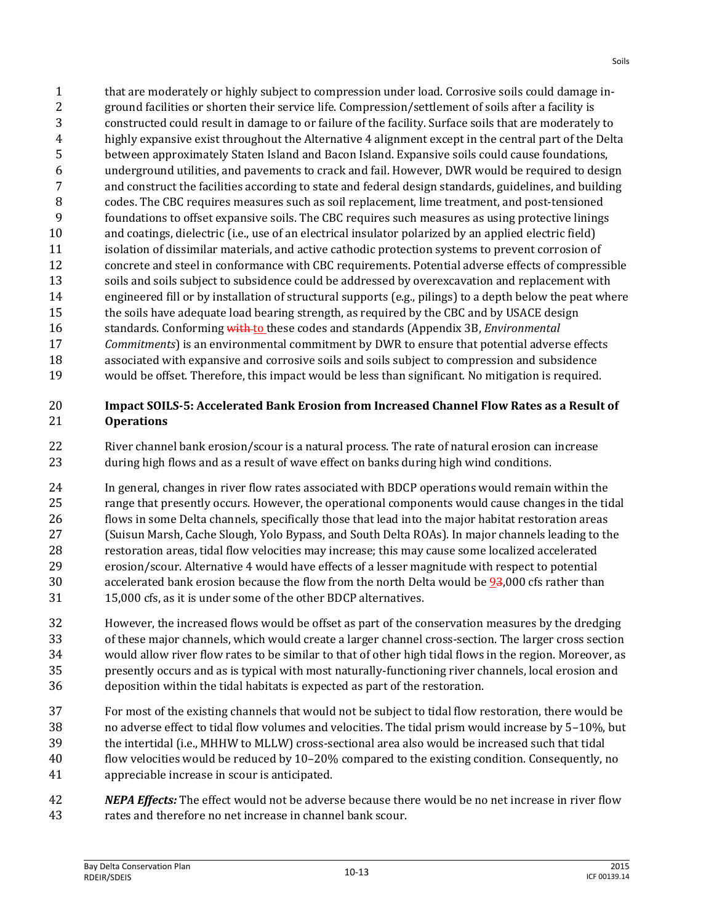that are moderately or highly subject to compression under load. Corrosive soils could damage in- ground facilities or shorten their service life. Compression/settlement of soils after a facility is constructed could result in damage to or failure of the facility. Surface soils that are moderately to highly expansive exist throughout the Alternative 4 alignment except in the central part of the Delta between approximately Staten Island and Bacon Island. Expansive soils could cause foundations, underground utilities, and pavements to crack and fail. However, DWR would be required to design and construct the facilities according to state and federal design standards, guidelines, and building codes. The CBC requires measures such as soil replacement, lime treatment, and post-tensioned foundations to offset expansive soils. The CBC requires such measures as using protective linings and coatings, dielectric (i.e., use of an electrical insulator polarized by an applied electric field) isolation of dissimilar materials, and active cathodic protection systems to prevent corrosion of concrete and steel in conformance with CBC requirements. Potential adverse effects of compressible soils and soils subject to subsidence could be addressed by overexcavation and replacement with engineered fill or by installation of structural supports (e.g., pilings) to a depth below the peat where the soils have adequate load bearing strength, as required by the CBC and by USACE design standards. Conforming with to these codes and standards (Appendix 3B, *Environmental Commitments*) is an environmental commitment by DWR to ensure that potential adverse effects associated with expansive and corrosive soils and soils subject to compression and subsidence would be offset. Therefore, this impact would be less than significant. No mitigation is required.

#### **Impact SOILS-5: Accelerated Bank Erosion from Increased Channel Flow Rates as a Result of Operations**

 River channel bank erosion/scour is a natural process. The rate of natural erosion can increase during high flows and as a result of wave effect on banks during high wind conditions.

 In general, changes in river flow rates associated with BDCP operations would remain within the range that presently occurs. However, the operational components would cause changes in the tidal flows in some Delta channels, specifically those that lead into the major habitat restoration areas (Suisun Marsh, Cache Slough, Yolo Bypass, and South Delta ROAs). In major channels leading to the restoration areas, tidal flow velocities may increase; this may cause some localized accelerated erosion/scour. Alternative 4 would have effects of a lesser magnitude with respect to potential 30 accelerated bank erosion because the flow from the north Delta would be 93,000 cfs rather than 15,000 cfs, as it is under some of the other BDCP alternatives.

- However, the increased flows would be offset as part of the conservation measures by the dredging of these major channels, which would create a larger channel cross-section. The larger cross section would allow river flow rates to be similar to that of other high tidal flows in the region. Moreover, as presently occurs and as is typical with most naturally-functioning river channels, local erosion and deposition within the tidal habitats is expected as part of the restoration.
- For most of the existing channels that would not be subject to tidal flow restoration, there would be no adverse effect to tidal flow volumes and velocities. The tidal prism would increase by 5–10%, but the intertidal (i.e., MHHW to MLLW) cross-sectional area also would be increased such that tidal flow velocities would be reduced by 10–20% compared to the existing condition. Consequently, no appreciable increase in scour is anticipated.
- *NEPA Effects:* The effect would not be adverse because there would be no net increase in river flow rates and therefore no net increase in channel bank scour.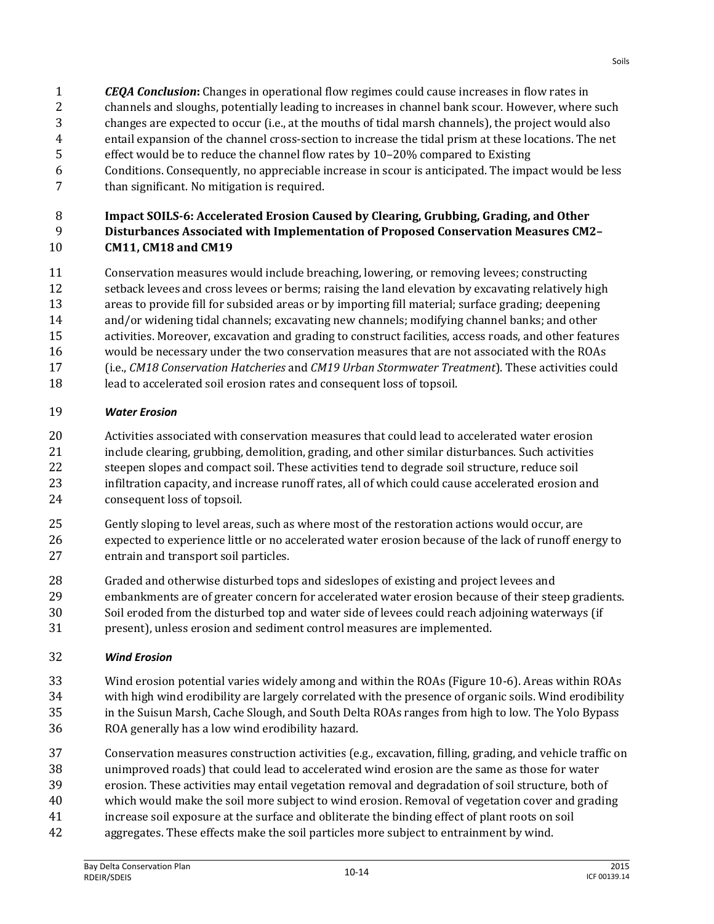- *CEQA Conclusion***:** Changes in operational flow regimes could cause increases in flow rates in channels and sloughs, potentially leading to increases in channel bank scour. However, where such
- changes are expected to occur (i.e., at the mouths of tidal marsh channels), the project would also
- entail expansion of the channel cross-section to increase the tidal prism at these locations. The net
- effect would be to reduce the channel flow rates by 10–20% compared to Existing
- Conditions. Consequently, no appreciable increase in scour is anticipated. The impact would be less than significant. No mitigation is required.

#### **Impact SOILS-6: Accelerated Erosion Caused by Clearing, Grubbing, Grading, and Other Disturbances Associated with Implementation of Proposed Conservation Measures CM2– CM11, CM18 and CM19**

- Conservation measures would include breaching, lowering, or removing levees; constructing
- setback levees and cross levees or berms; raising the land elevation by excavating relatively high areas to provide fill for subsided areas or by importing fill material; surface grading; deepening
- and/or widening tidal channels; excavating new channels; modifying channel banks; and other
- activities. Moreover, excavation and grading to construct facilities, access roads, and other features
- would be necessary under the two conservation measures that are not associated with the ROAs
- (i.e., *CM18 Conservation Hatcheries* and *CM19 Urban Stormwater Treatment*). These activities could
- lead to accelerated soil erosion rates and consequent loss of topsoil.

## *Water Erosion*

- Activities associated with conservation measures that could lead to accelerated water erosion 21 include clearing, grubbing, demolition, grading, and other similar disturbances. Such activities steepen slopes and compact soil. These activities tend to degrade soil structure, reduce soil infiltration capacity, and increase runoff rates, all of which could cause accelerated erosion and consequent loss of topsoil.
- Gently sloping to level areas, such as where most of the restoration actions would occur, are expected to experience little or no accelerated water erosion because of the lack of runoff energy to entrain and transport soil particles.
- Graded and otherwise disturbed tops and sideslopes of existing and project levees and
- embankments are of greater concern for accelerated water erosion because of their steep gradients.
- Soil eroded from the disturbed top and water side of levees could reach adjoining waterways (if
- present), unless erosion and sediment control measures are implemented.

## *Wind Erosion*

- Wind erosion potential varies widely among and within the ROAs (Figure 10-6). Areas within ROAs with high wind erodibility are largely correlated with the presence of organic soils. Wind erodibility in the Suisun Marsh, Cache Slough, and South Delta ROAs ranges from high to low. The Yolo Bypass ROA generally has a low wind erodibility hazard.
- Conservation measures construction activities (e.g., excavation, filling, grading, and vehicle traffic on unimproved roads) that could lead to accelerated wind erosion are the same as those for water erosion. These activities may entail vegetation removal and degradation of soil structure, both of
- which would make the soil more subject to wind erosion. Removal of vegetation cover and grading
- increase soil exposure at the surface and obliterate the binding effect of plant roots on soil
- aggregates. These effects make the soil particles more subject to entrainment by wind.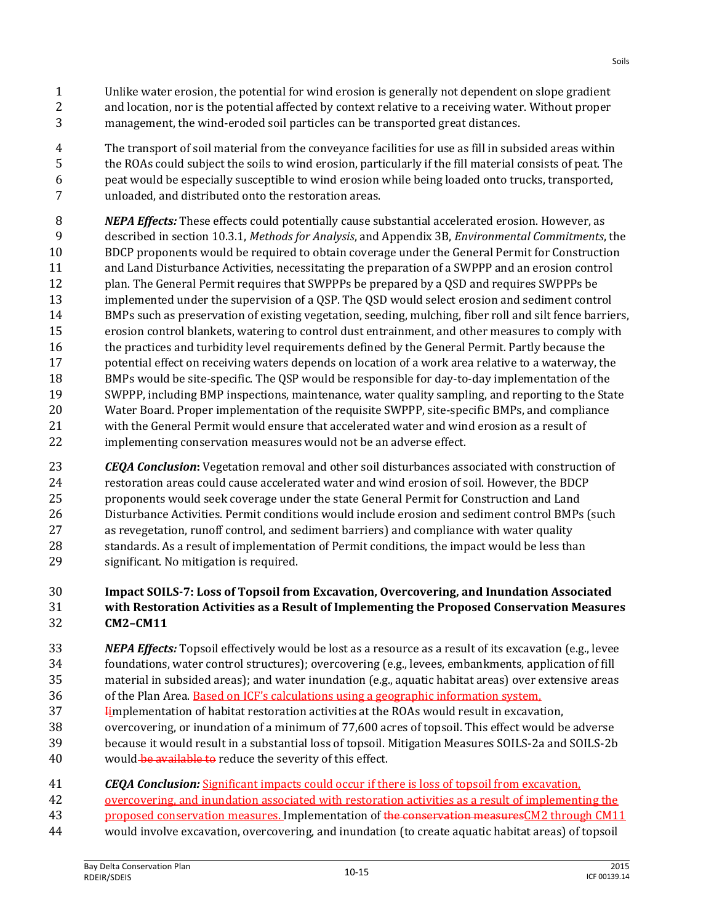- Unlike water erosion, the potential for wind erosion is generally not dependent on slope gradient and location, nor is the potential affected by context relative to a receiving water. Without proper management, the wind-eroded soil particles can be transported great distances.
- The transport of soil material from the conveyance facilities for use as fill in subsided areas within the ROAs could subject the soils to wind erosion, particularly if the fill material consists of peat. The peat would be especially susceptible to wind erosion while being loaded onto trucks, transported, unloaded, and distributed onto the restoration areas.
- *NEPA Effects:* These effects could potentially cause substantial accelerated erosion. However, as described in section 10.3.1, *Methods for Analysis*, and Appendix 3B, *Environmental Commitments*, the BDCP proponents would be required to obtain coverage under the General Permit for Construction and Land Disturbance Activities, necessitating the preparation of a SWPPP and an erosion control plan. The General Permit requires that SWPPPs be prepared by a QSD and requires SWPPPs be implemented under the supervision of a QSP. The QSD would select erosion and sediment control BMPs such as preservation of existing vegetation, seeding, mulching, fiber roll and silt fence barriers, erosion control blankets, watering to control dust entrainment, and other measures to comply with the practices and turbidity level requirements defined by the General Permit. Partly because the potential effect on receiving waters depends on location of a work area relative to a waterway, the BMPs would be site-specific. The QSP would be responsible for day-to-day implementation of the SWPPP, including BMP inspections, maintenance, water quality sampling, and reporting to the State Water Board. Proper implementation of the requisite SWPPP, site-specific BMPs, and compliance with the General Permit would ensure that accelerated water and wind erosion as a result of implementing conservation measures would not be an adverse effect.
- *CEQA Conclusion***:** Vegetation removal and other soil disturbances associated with construction of restoration areas could cause accelerated water and wind erosion of soil. However, the BDCP proponents would seek coverage under the state General Permit for Construction and Land Disturbance Activities. Permit conditions would include erosion and sediment control BMPs (such as revegetation, runoff control, and sediment barriers) and compliance with water quality 28 standards. As a result of implementation of Permit conditions, the impact would be less than significant. No mitigation is required.

#### **Impact SOILS-7: Loss of Topsoil from Excavation, Overcovering, and Inundation Associated with Restoration Activities as a Result of Implementing the Proposed Conservation Measures CM2–CM11**

- *NEPA Effects:* Topsoil effectively would be lost as a resource as a result of its excavation (e.g., levee foundations, water control structures); overcovering (e.g., levees, embankments, application of fill material in subsided areas); and water inundation (e.g., aquatic habitat areas) over extensive areas of the Plan Area. Based on ICF's calculations using a geographic information system,
- **I**implementation of habitat restoration activities at the ROAs would result in excavation,
- overcovering, or inundation of a minimum of 77,600 acres of topsoil. This effect would be adverse
- because it would result in a substantial loss of topsoil. Mitigation Measures SOILS-2a and SOILS-2b
- 40 would be available to reduce the severity of this effect.
- *CEQA Conclusion:* Significant impacts could occur if there is loss of topsoil from excavation,
- overcovering, and inundation associated with restoration activities as a result of implementing the
- 43 proposed conservation measures. Implementation of the conservation measures CM2 through CM11
- would involve excavation, overcovering, and inundation (to create aquatic habitat areas) of topsoil

Soils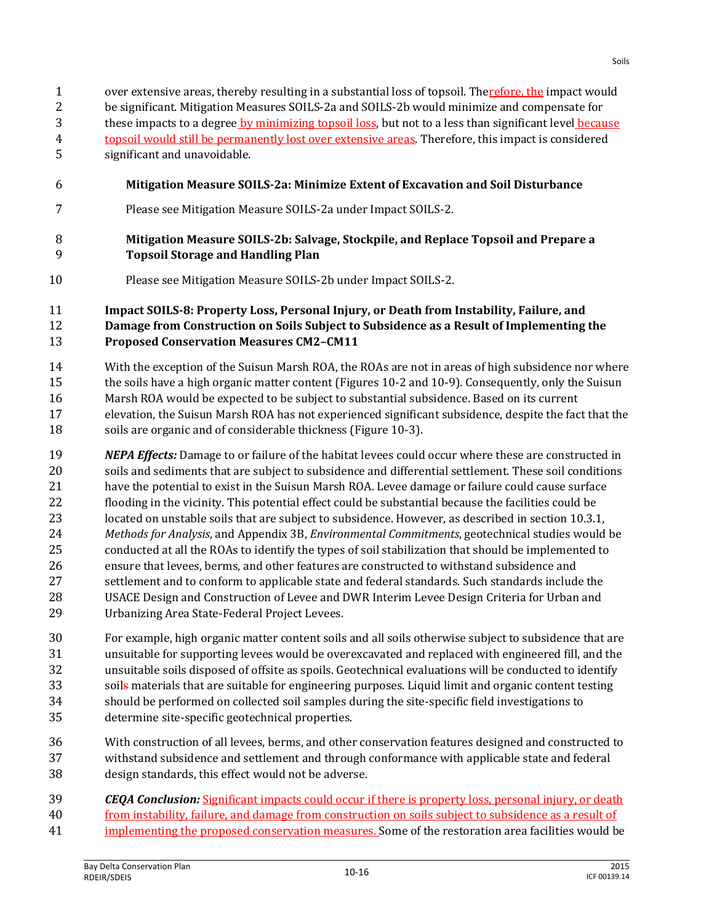over extensive areas, thereby resulting in a substantial loss of topsoil. Therefore, the impact would be significant. Mitigation Measures SOILS-2a and SOILS-2b would minimize and compensate for 3 these impacts to a degree by minimizing topsoil loss, but not to a less than significant level because topsoil would still be permanently lost over extensive areas. Therefore, this impact is considered significant and unavoidable.

- **Mitigation Measure SOILS-2a: Minimize Extent of Excavation and Soil Disturbance**
- Please see Mitigation Measure SOILS-2a under Impact SOILS-2.

#### **Mitigation Measure SOILS-2b: Salvage, Stockpile, and Replace Topsoil and Prepare a Topsoil Storage and Handling Plan**

Please see Mitigation Measure SOILS-2b under Impact SOILS-2.

 **Impact SOILS-8: Property Loss, Personal Injury, or Death from Instability, Failure, and Damage from Construction on Soils Subject to Subsidence as a Result of Implementing the Proposed Conservation Measures CM2–CM11**

- With the exception of the Suisun Marsh ROA, the ROAs are not in areas of high subsidence nor where the soils have a high organic matter content (Figures 10-2 and 10-9). Consequently, only the Suisun Marsh ROA would be expected to be subject to substantial subsidence. Based on its current elevation, the Suisun Marsh ROA has not experienced significant subsidence, despite the fact that the soils are organic and of considerable thickness (Figure 10-3).
- *NEPA Effects:* Damage to or failure of the habitat levees could occur where these are constructed in soils and sediments that are subject to subsidence and differential settlement. These soil conditions have the potential to exist in the Suisun Marsh ROA. Levee damage or failure could cause surface flooding in the vicinity. This potential effect could be substantial because the facilities could be located on unstable soils that are subject to subsidence. However, as described in section 10.3.1, *Methods for Analysis*, and Appendix 3B, *Environmental Commitments*, geotechnical studies would be conducted at all the ROAs to identify the types of soil stabilization that should be implemented to ensure that levees, berms, and other features are constructed to withstand subsidence and settlement and to conform to applicable state and federal standards. Such standards include the USACE Design and Construction of Levee and DWR Interim Levee Design Criteria for Urban and Urbanizing Area State-Federal Project Levees.
- For example, high organic matter content soils and all soils otherwise subject to subsidence that are unsuitable for supporting levees would be overexcavated and replaced with engineered fill, and the unsuitable soils disposed of offsite as spoils. Geotechnical evaluations will be conducted to identify 33 soils materials that are suitable for engineering purposes. Liquid limit and organic content testing should be performed on collected soil samples during the site-specific field investigations to determine site-specific geotechnical properties.
- With construction of all levees, berms, and other conservation features designed and constructed to withstand subsidence and settlement and through conformance with applicable state and federal design standards, this effect would not be adverse.
- *CEQA Conclusion:* Significant impacts could occur if there is property loss, personal injury, or death from instability, failure, and damage from construction on soils subject to subsidence as a result of
- implementing the proposed conservation measures. Some of the restoration area facilities would be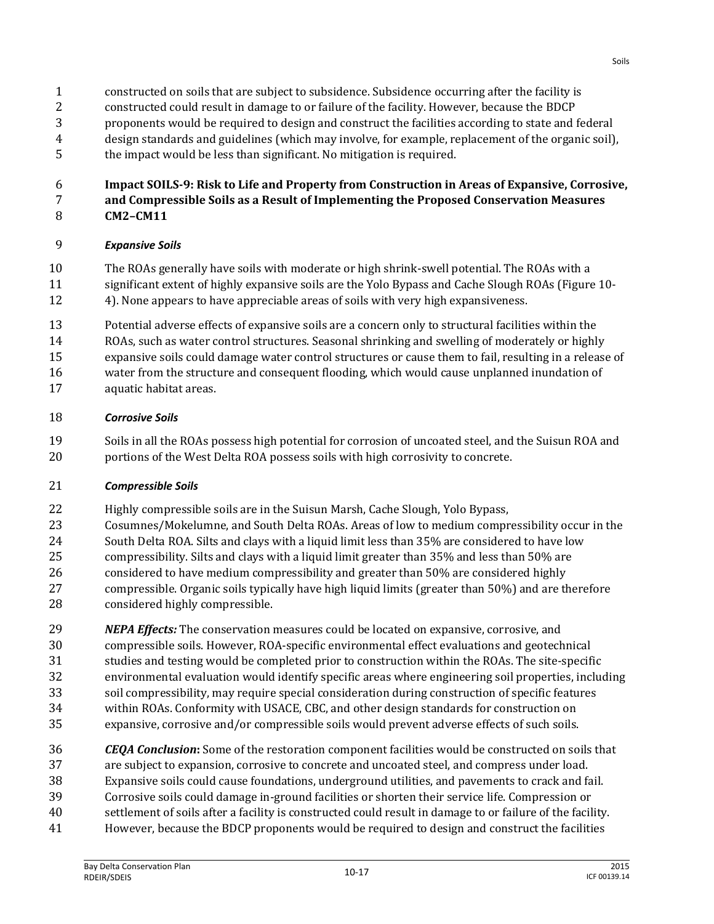- constructed on soils that are subject to subsidence. Subsidence occurring after the facility is
- constructed could result in damage to or failure of the facility. However, because the BDCP
- proponents would be required to design and construct the facilities according to state and federal design standards and guidelines (which may involve, for example, replacement of the organic soil),
- the impact would be less than significant. No mitigation is required.
- **Impact SOILS-9: Risk to Life and Property from Construction in Areas of Expansive, Corrosive,**
- **and Compressible Soils as a Result of Implementing the Proposed Conservation Measures CM2–CM11**

## *Expansive Soils*

- The ROAs generally have soils with moderate or high shrink-swell potential. The ROAs with a
- significant extent of highly expansive soils are the Yolo Bypass and Cache Slough ROAs (Figure 10- 4). None appears to have appreciable areas of soils with very high expansiveness.
- Potential adverse effects of expansive soils are a concern only to structural facilities within the
- ROAs, such as water control structures. Seasonal shrinking and swelling of moderately or highly
- expansive soils could damage water control structures or cause them to fail, resulting in a release of
- water from the structure and consequent flooding, which would cause unplanned inundation of
- aquatic habitat areas.

#### *Corrosive Soils*

 Soils in all the ROAs possess high potential for corrosion of uncoated steel, and the Suisun ROA and portions of the West Delta ROA possess soils with high corrosivity to concrete.

## *Compressible Soils*

- Highly compressible soils are in the Suisun Marsh, Cache Slough, Yolo Bypass,
- Cosumnes/Mokelumne, and South Delta ROAs. Areas of low to medium compressibility occur in the South Delta ROA. Silts and clays with a liquid limit less than 35% are considered to have low compressibility. Silts and clays with a liquid limit greater than 35% and less than 50% are considered to have medium compressibility and greater than 50% are considered highly compressible. Organic soils typically have high liquid limits (greater than 50%) and are therefore
- considered highly compressible. *NEPA Effects:* The conservation measures could be located on expansive, corrosive, and
- compressible soils. However, ROA-specific environmental effect evaluations and geotechnical studies and testing would be completed prior to construction within the ROAs. The site-specific environmental evaluation would identify specific areas where engineering soil properties, including soil compressibility, may require special consideration during construction of specific features within ROAs. Conformity with USACE, CBC, and other design standards for construction on
- expansive, corrosive and/or compressible soils would prevent adverse effects of such soils.
- *CEQA Conclusion***:** Some of the restoration component facilities would be constructed on soils that are subject to expansion, corrosive to concrete and uncoated steel, and compress under load. Expansive soils could cause foundations, underground utilities, and pavements to crack and fail. Corrosive soils could damage in-ground facilities or shorten their service life. Compression or settlement of soils after a facility is constructed could result in damage to or failure of the facility. However, because the BDCP proponents would be required to design and construct the facilities